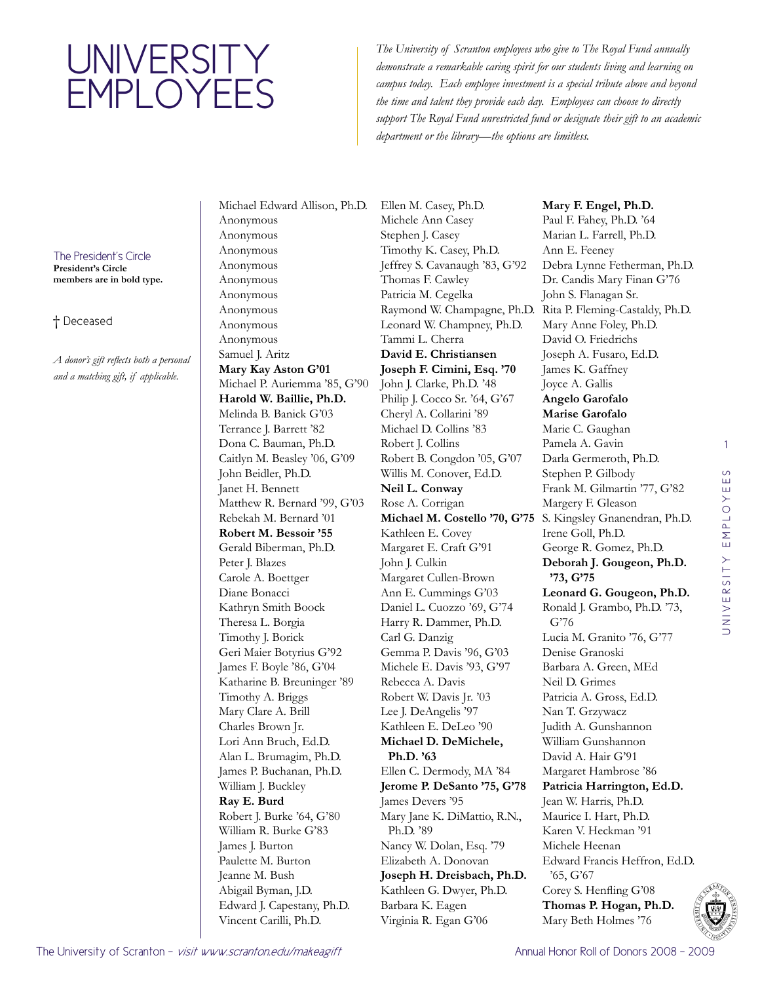## **UNIVERSITY EMPLOYEES**

*The University of Scranton employees who give to The Royal Fund annually demonstrate a remarkable caring spirit for our students living and learning on campus today. Each employee investment is a special tribute above and beyond the time and talent they provide each day. Employees can choose to directly support The Royal Fund unrestricted fund or designate their gift to an academic department or the library—the options are limitless.*

## The President's Circle **President's Circle**

**members are in bold type.**

## † Deceased

*A donor's gift reflects both a personal and a matching gift, if applicable.* 

Michael Edward Allison, Ph.D. Anonymous Anonymous Anonymous Anonymous Anonymous Anonymous Anonymous Anonymous Anonymous Samuel J. Aritz **Mary Kay Aston G'01** Michael P. Auriemma '85, G'90 **Harold W. Baillie, Ph.D.**  Melinda B. Banick G'03 Terrance J. Barrett '82 Dona C. Bauman, Ph.D. Caitlyn M. Beasley '06, G'09 John Beidler, Ph.D. Janet H. Bennett Matthew R. Bernard '99, G'03 Rebekah M. Bernard '01 **Robert M. Bessoir '55** Gerald Biberman, Ph.D. Peter J. Blazes Carole A. Boettger Diane Bonacci Kathryn Smith Boock Theresa L. Borgia Timothy J. Borick Geri Maier Botyrius G'92 James F. Boyle '86, G'04 Katharine B. Breuninger '89 Timothy A. Briggs Mary Clare A. Brill Charles Brown Jr. Lori Ann Bruch, Ed.D. Alan L. Brumagim, Ph.D. James P. Buchanan, Ph.D. William J. Buckley **Ray E. Burd**  Robert J. Burke '64, G'80 William R. Burke G'83 James J. Burton Paulette M. Burton Jeanne M. Bush Abigail Byman, J.D. Edward J. Capestany, Ph.D. Vincent Carilli, Ph.D.

Ellen M. Casey, Ph.D. Michele Ann Casey Stephen J. Casey Timothy K. Casey, Ph.D. Jeffrey S. Cavanaugh '83, G'92 Thomas F. Cawley Patricia M. Cegelka Leonard W. Champney, Ph.D. Tammi L. Cherra **David E. Christiansen Joseph F. Cimini, Esq. '70** John J. Clarke, Ph.D. '48 Philip J. Cocco Sr. '64, G'67 Cheryl A. Collarini '89 Michael D. Collins '83 Robert J. Collins Robert B. Congdon '05, G'07 Willis M. Conover, Ed.D. **Neil L. Conway**  Rose A. Corrigan Kathleen E. Covey Margaret E. Craft G'91 John J. Culkin Margaret Cullen-Brown Ann E. Cummings G'03 Daniel L. Cuozzo '69, G'74 Harry R. Dammer, Ph.D. Carl G. Danzig Gemma P. Davis '96, G'03 Michele E. Davis '93, G'97 Rebecca A. Davis Robert W. Davis Jr. '03 Lee J. DeAngelis '97 Kathleen E. DeLeo '90 **Michael D. DeMichele, Ph.D. '63** Ellen C. Dermody, MA '84 **Jerome P. DeSanto '75, G'78** James Devers '95 Mary Jane K. DiMattio, R.N., Ph.D. '89 Nancy W. Dolan, Esq. '79 Elizabeth A. Donovan **Joseph H. Dreisbach, Ph.D.**  Kathleen G. Dwyer, Ph.D. Barbara K. Eagen Virginia R. Egan G'06

Raymond W. Champagne, Ph.D. Rita P. Fleming-Castaldy, Ph.D. **Michael M. Costello '70, G'75** S. Kingsley Gnanendran, Ph.D. **Mary F. Engel, Ph.D.**  Paul F. Fahey, Ph.D. '64 Marian L. Farrell, Ph.D. Ann E. Feeney Debra Lynne Fetherman, Ph.D. Dr. Candis Mary Finan G'76 John S. Flanagan Sr. Mary Anne Foley, Ph.D. David O. Friedrichs Joseph A. Fusaro, Ed.D. James K. Gaffney Joyce A. Gallis **Angelo Garofalo Marise Garofalo** Marie C. Gaughan Pamela A. Gavin Darla Germeroth, Ph.D. Stephen P. Gilbody Frank M. Gilmartin '77, G'82 Margery F. Gleason Irene Goll, Ph.D. George R. Gomez, Ph.D. **Deborah J. Gougeon, Ph.D. '73, G'75 Leonard G. Gougeon, Ph.D.**  Ronald J. Grambo, Ph.D. '73, G'76 Lucia M. Granito '76, G'77 Denise Granoski Barbara A. Green, MEd Neil D. Grimes Patricia A. Gross, Ed.D. Nan T. Grzywacz Judith A. Gunshannon William Gunshannon David A. Hair G'91 Margaret Hambrose '86 **Patricia Harrington, Ed.D.**  Jean W. Harris, Ph.D. Maurice I. Hart, Ph.D. Karen V. Heckman '91 Michele Heenan Edward Francis Heffron, Ed.D. '65, G'67 Corey S. Henfling G'08 **Thomas P. Hogan, Ph.D.**  Mary Beth Holmes '76

1